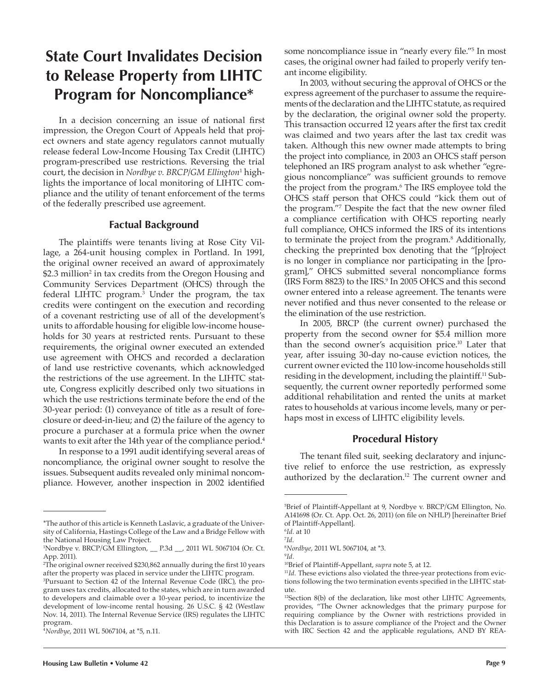# **State Court Invalidates Decision to Release Property from LIHTC Program for Noncompliance\***

In a decision concerning an issue of national first impression, the Oregon Court of Appeals held that project owners and state agency regulators cannot mutually release federal Low-Income Housing Tax Credit (LIHTC) program-prescribed use restrictions. Reversing the trial court, the decision in *Nordbye v. BRCP/GM Ellington*<sup>1</sup> highlights the importance of local monitoring of LIHTC compliance and the utility of tenant enforcement of the terms of the federally prescribed use agreement.

## **Factual Background**

The plaintiffs were tenants living at Rose City Village, a 264-unit housing complex in Portland. In 1991, the original owner received an award of approximately  $$2.3$  million $^2$  in tax credits from the Oregon Housing and Community Services Department (OHCS) through the federal LIHTC program.<sup>3</sup> Under the program, the tax credits were contingent on the execution and recording of a covenant restricting use of all of the development's units to affordable housing for eligible low-income households for 30 years at restricted rents. Pursuant to these requirements, the original owner executed an extended use agreement with OHCS and recorded a declaration of land use restrictive covenants, which acknowledged the restrictions of the use agreement. In the LIHTC statute, Congress explicitly described only two situations in which the use restrictions terminate before the end of the 30-year period: (1) conveyance of title as a result of foreclosure or deed-in-lieu; and (2) the failure of the agency to procure a purchaser at a formula price when the owner wants to exit after the 14th year of the compliance period.<sup>4</sup>

In response to a 1991 audit identifying several areas of noncompliance, the original owner sought to resolve the issues. Subsequent audits revealed only minimal noncompliance. However, another inspection in 2002 identified

some noncompliance issue in "nearly every file."<sup>5</sup> In most cases, the original owner had failed to properly verify tenant income eligibility.

In 2003, without securing the approval of OHCS or the express agreement of the purchaser to assume the requirements of the declaration and the LIHTC statute, as required by the declaration, the original owner sold the property. This transaction occurred 12 years after the first tax credit was claimed and two years after the last tax credit was taken. Although this new owner made attempts to bring the project into compliance, in 2003 an OHCS staff person telephoned an IRS program analyst to ask whether "egregious noncompliance" was sufficient grounds to remove the project from the program.<sup>6</sup> The IRS employee told the OHCS staff person that OHCS could "kick them out of the program."<sup>7</sup> Despite the fact that the new owner filed a compliance certification with OHCS reporting nearly full compliance, OHCS informed the IRS of its intentions to terminate the project from the program.<sup>8</sup> Additionally, checking the preprinted box denoting that the "[p]roject is no longer in compliance nor participating in the [program]," OHCS submitted several noncompliance forms (IRS Form 8823) to the IRS.<sup>9</sup> In 2005 OHCS and this second owner entered into a release agreement. The tenants were never notified and thus never consented to the release or the elimination of the use restriction.

In 2005, BRCP (the current owner) purchased the property from the second owner for \$5.4 million more than the second owner's acquisition price.<sup>10</sup> Later that year, after issuing 30-day no-cause eviction notices, the current owner evicted the 110 low-income households still residing in the development, including the plaintiff.<sup>11</sup> Subsequently, the current owner reportedly performed some additional rehabilitation and rented the units at market rates to households at various income levels, many or perhaps most in excess of LIHTC eligibility levels.

#### **Procedural History**

The tenant filed suit, seeking declaratory and injunctive relief to enforce the use restriction, as expressly authorized by the declaration.<sup>12</sup> The current owner and

<sup>\*</sup>The author of this article is Kenneth Laslavic, a graduate of the University of California, Hastings College of the Law and a Bridge Fellow with the National Housing Law Project.

<sup>1</sup> Nordbye v. BRCP/GM Ellington, \_\_ P.3d \_\_, 2011 WL 5067104 (Or. Ct. App. 2011).

<sup>2</sup> The original owner received \$230,862 annually during the first 10 years after the property was placed in service under the LIHTC program.

<sup>3</sup> Pursuant to Section 42 of the Internal Revenue Code (IRC), the program uses tax credits, allocated to the states, which are in turn awarded to developers and claimable over a 10-year period, to incentivize the development of low-income rental housing. 26 U.S.C. § 42 (Westlaw Nov. 14, 2011). The Internal Revenue Service (IRS) regulates the LIHTC program.

<sup>4</sup>*Nordbye*, 2011 WL 5067104, at \*5, n.11.

<sup>5</sup> Brief of Plaintiff-Appellant at 9, Nordbye v. BRCP/GM Ellington, No. A141698 (Or. Ct. App. Oct. 26, 2011) (on file on NHLP) [hereinafter Brief of Plaintiff-Appellant].

<sup>6</sup> *Id.* at 10

<sup>7</sup> *Id.* 8 *Nordbye*, 2011 WL 5067104, at \*3.

<sup>9</sup> *Id.*

<sup>10</sup>Brief of Plaintiff-Appellant, *supra* note 5, at 12.

<sup>&</sup>lt;sup>11</sup>Id. These evictions also violated the three-year protections from evictions following the two termination events specified in the LIHTC statute.

<sup>&</sup>lt;sup>12</sup>Section 8(b) of the declaration, like most other LIHTC Agreements, provides, "The Owner acknowledges that the primary purpose for requiring compliance by the Owner with restrictions provided in this Declaration is to assure compliance of the Project and the Owner with IRC Section 42 and the applicable regulations, AND BY REA-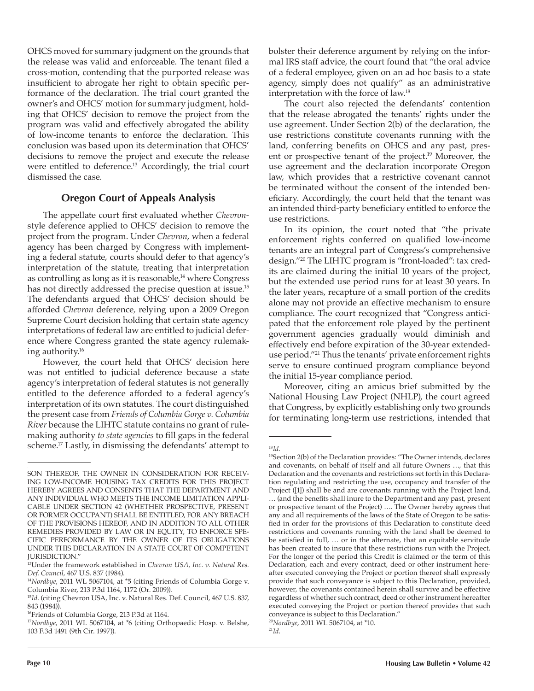OHCS moved for summary judgment on the grounds that the release was valid and enforceable. The tenant filed a cross-motion, contending that the purported release was insufficient to abrogate her right to obtain specific performance of the declaration. The trial court granted the owner's and OHCS' motion for summary judgment, holding that OHCS' decision to remove the project from the program was valid and effectively abrogated the ability of low-income tenants to enforce the declaration. This conclusion was based upon its determination that OHCS' decisions to remove the project and execute the release were entitled to deference.<sup>13</sup> Accordingly, the trial court dismissed the case.

# **Oregon Court of Appeals Analysis**

The appellate court first evaluated whether *Chevron*style deference applied to OHCS' decision to remove the project from the program. Under *Chevron*, when a federal agency has been charged by Congress with implementing a federal statute, courts should defer to that agency's interpretation of the statute, treating that interpretation as controlling as long as it is reasonable,<sup>14</sup> where Congress has not directly addressed the precise question at issue.<sup>15</sup> The defendants argued that OHCS' decision should be afforded *Chevron* deference*,* relying upon a 2009 Oregon Supreme Court decision holding that certain state agency interpretations of federal law are entitled to judicial deference where Congress granted the state agency rulemaking authority.<sup>16</sup>

However, the court held that OHCS' decision here was not entitled to judicial deference because a state agency's interpretation of federal statutes is not generally entitled to the deference afforded to a federal agency's interpretation of its own statutes*.* The court distinguished the present case from *Friends of Columbia Gorge v. Columbia River* because the LIHTC statute contains no grant of rulemaking authority *to state agencies* to fill gaps in the federal scheme.17 Lastly, in dismissing the defendants' attempt to

bolster their deference argument by relying on the informal IRS staff advice, the court found that "the oral advice of a federal employee, given on an ad hoc basis to a state agency, simply does not qualify" as an administrative interpretation with the force of law.18

The court also rejected the defendants' contention that the release abrogated the tenants' rights under the use agreement. Under Section 2(b) of the declaration, the use restrictions constitute covenants running with the land, conferring benefits on OHCS and any past, present or prospective tenant of the project.19 Moreover, the use agreement and the declaration incorporate Oregon law, which provides that a restrictive covenant cannot be terminated without the consent of the intended beneficiary. Accordingly, the court held that the tenant was an intended third-party beneficiary entitled to enforce the use restrictions.

In its opinion, the court noted that "the private enforcement rights conferred on qualified low-income tenants are an integral part of Congress's comprehensive design."20 The LIHTC program is "front-loaded": tax credits are claimed during the initial 10 years of the project, but the extended use period runs for at least 30 years. In the later years, recapture of a small portion of the credits alone may not provide an effective mechanism to ensure compliance. The court recognized that "Congress anticipated that the enforcement role played by the pertinent government agencies gradually would diminish and effectively end before expiration of the 30-year extendeduse period."21 Thus the tenants' private enforcement rights serve to ensure continued program compliance beyond the initial 15-year compliance period.

Moreover, citing an amicus brief submitted by the National Housing Law Project (NHLP), the court agreed that Congress, by explicitly establishing only two grounds for terminating long-term use restrictions, intended that

<sup>18</sup>*Id.*

SON THEREOF, THE OWNER IN CONSIDERATION FOR RECEIV-ING LOW-INCOME HOUSING TAX CREDITS FOR THIS PROJECT HEREBY AGREES AND CONSENTS THAT THE DEPARTMENT AND ANY INDIVIDUAL WHO MEETS THE INCOME LIMITATION APPLI-CABLE UNDER SECTION 42 (WHETHER PROSPECTIVE, PRESENT OR FORMER OCCUPANT) SHALL BE ENTITLED, FOR ANY BREACH OF THE PROVISIONS HEREOF, AND IN ADDITION TO ALL OTHER REMEDIES PROVIDED BY LAW OR IN EQUITY, TO ENFORCE SPE-CIFIC PERFORMANCE BY THE OWNER OF ITS OBLIGATIONS UNDER THIS DECLARATION IN A STATE COURT OF COMPETENT JURISDICTION."

<sup>13</sup>Under the framework established in *Chevron USA, Inc. v. Natural Res. Def. Council*, 467 U.S. 837 (1984).

<sup>14</sup>*Nordbye*, 2011 WL 5067104, at \*5 (citing Friends of Columbia Gorge v. Columbia River, 213 P.3d 1164, 1172 (Or. 2009)).

<sup>15</sup>*Id*. (citing Chevron USA, Inc. v. Natural Res. Def. Council, 467 U.S. 837, 843 (1984)).

<sup>&</sup>lt;sup>16</sup>Friends of Columbia Gorge, 213 P.3d at 1164.

<sup>&</sup>lt;sup>17</sup>Nordbye, 2011 WL 5067104, at \*6 (citing Orthopaedic Hosp. v. Belshe, 103 F.3d 1491 (9th Cir. 1997)).

<sup>&</sup>lt;sup>19</sup>Section 2(b) of the Declaration provides: "The Owner intends, declares and covenants, on behalf of itself and all future Owners …, that this Declaration and the covenants and restrictions set forth in this Declaration regulating and restricting the use, occupancy and transfer of the Project ([1]) shall be and are covenants running with the Project land, … (and the benefits shall inure to the Department and any past, present or prospective tenant of the Project) …. The Owner hereby agrees that any and all requirements of the laws of the State of Oregon to be satisfied in order for the provisions of this Declaration to constitute deed restrictions and covenants running with the land shall be deemed to be satisfied in full, … or in the alternate, that an equitable servitude has been created to insure that these restrictions run with the Project. For the longer of the period this Credit is claimed or the term of this Declaration, each and every contract, deed or other instrument hereafter executed conveying the Project or portion thereof shall expressly provide that such conveyance is subject to this Declaration, provided, however, the covenants contained herein shall survive and be effective regardless of whether such contract, deed or other instrument hereafter executed conveying the Project or portion thereof provides that such conveyance is subject to this Declaration."

<sup>20</sup>*Nordbye*, 2011 WL 5067104, at \*10.